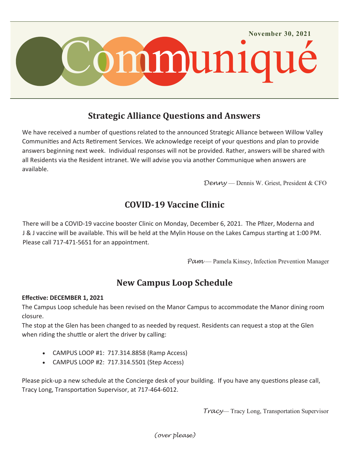

### **Strategic Alliance Questions and Answers**

We have received a number of questions related to the announced Strategic Alliance between Willow Valley Communities and Acts Retirement Services. We acknowledge receipt of your questions and plan to provide answers beginning next week. Individual responses will not be provided. Rather, answers will be shared with all Residents via the Resident intranet. We will advise you via another Communique when answers are available.

*Denny* — Dennis W. Griest, President & CFO

## **COVID-19 Vaccine Clinic**

There will be a COVID-19 vaccine booster Clinic on Monday, December 6, 2021. The Pfizer, Moderna and J & J vaccine will be available. This will be held at the Mylin House on the Lakes Campus starting at 1:00 PM. Please call 717-471-5651 for an appointment.

Pam — Pamela Kinsey, Infection Prevention Manager

# **New Campus Loop Schedule**

#### **Effective: DECEMBER 1, 2021**

The Campus Loop schedule has been revised on the Manor Campus to accommodate the Manor dining room closure.

The stop at the Glen has been changed to as needed by request. Residents can request a stop at the Glen when riding the shuttle or alert the driver by calling:

- CAMPUS LOOP #1: 717.314.8858 (Ramp Access)
- CAMPUS LOOP #2: 717.314.5501 (Step Access)

Please pick-up a new schedule at the Concierge desk of your building. If you have any questions please call, Tracy Long, Transportation Supervisor, at 717-464-6012.

*Tracy*— Tracy Long, Transportation Supervisor